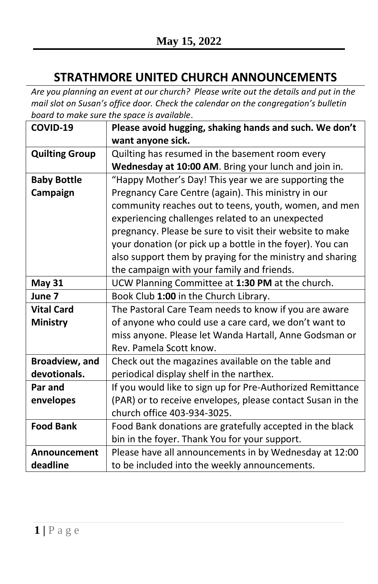## **STRATHMORE UNITED CHURCH ANNOUNCEMENTS**

*Are you planning an event at our church? Please write out the details and put in the mail slot on Susan's office door. Check the calendar on the congregation's bulletin board to make sure the space is available*.

| COVID-19              | Please avoid hugging, shaking hands and such. We don't     |
|-----------------------|------------------------------------------------------------|
|                       | want anyone sick.                                          |
| <b>Quilting Group</b> | Quilting has resumed in the basement room every            |
|                       | Wednesday at 10:00 AM. Bring your lunch and join in.       |
| <b>Baby Bottle</b>    | "Happy Mother's Day! This year we are supporting the       |
| Campaign              | Pregnancy Care Centre (again). This ministry in our        |
|                       | community reaches out to teens, youth, women, and men      |
|                       | experiencing challenges related to an unexpected           |
|                       | pregnancy. Please be sure to visit their website to make   |
|                       | your donation (or pick up a bottle in the foyer). You can  |
|                       | also support them by praying for the ministry and sharing  |
|                       | the campaign with your family and friends.                 |
| <b>May 31</b>         | UCW Planning Committee at 1:30 PM at the church.           |
| June 7                | Book Club 1:00 in the Church Library.                      |
| <b>Vital Card</b>     | The Pastoral Care Team needs to know if you are aware      |
| <b>Ministry</b>       | of anyone who could use a care card, we don't want to      |
|                       | miss anyone. Please let Wanda Hartall, Anne Godsman or     |
|                       | Rev. Pamela Scott know.                                    |
| <b>Broadview, and</b> | Check out the magazines available on the table and         |
| devotionals.          | periodical display shelf in the narthex.                   |
| Par and               | If you would like to sign up for Pre-Authorized Remittance |
| envelopes             | (PAR) or to receive envelopes, please contact Susan in the |
|                       | church office 403-934-3025.                                |
| <b>Food Bank</b>      | Food Bank donations are gratefully accepted in the black   |
|                       | bin in the foyer. Thank You for your support.              |
| Announcement          | Please have all announcements in by Wednesday at 12:00     |
| deadline              | to be included into the weekly announcements.              |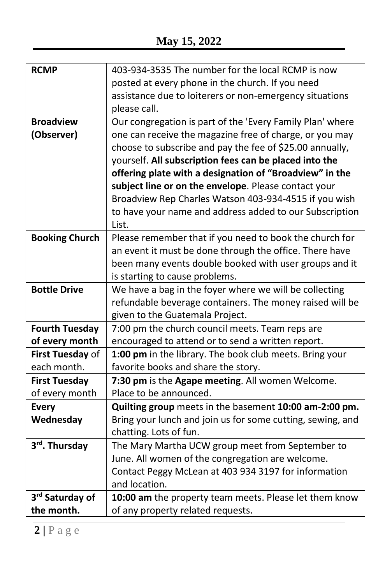| <b>RCMP</b>           | 403-934-3535 The number for the local RCMP is now          |
|-----------------------|------------------------------------------------------------|
|                       | posted at every phone in the church. If you need           |
|                       | assistance due to loiterers or non-emergency situations    |
|                       | please call.                                               |
| <b>Broadview</b>      | Our congregation is part of the 'Every Family Plan' where  |
| (Observer)            | one can receive the magazine free of charge, or you may    |
|                       | choose to subscribe and pay the fee of \$25.00 annually,   |
|                       | yourself. All subscription fees can be placed into the     |
|                       | offering plate with a designation of "Broadview" in the    |
|                       | subject line or on the envelope. Please contact your       |
|                       | Broadview Rep Charles Watson 403-934-4515 if you wish      |
|                       | to have your name and address added to our Subscription    |
|                       | List.                                                      |
| <b>Booking Church</b> | Please remember that if you need to book the church for    |
|                       | an event it must be done through the office. There have    |
|                       | been many events double booked with user groups and it     |
|                       | is starting to cause problems.                             |
| <b>Bottle Drive</b>   | We have a bag in the foyer where we will be collecting     |
|                       | refundable beverage containers. The money raised will be   |
|                       | given to the Guatemala Project.                            |
| <b>Fourth Tuesday</b> | 7:00 pm the church council meets. Team reps are            |
| of every month        | encouraged to attend or to send a written report.          |
| First Tuesday of      | 1:00 pm in the library. The book club meets. Bring your    |
| each month.           | favorite books and share the story.                        |
| <b>First Tuesday</b>  | 7:30 pm is the Agape meeting. All women Welcome.           |
| of every month        | Place to be announced.                                     |
| <b>Every</b>          | Quilting group meets in the basement 10:00 am-2:00 pm.     |
| Wednesday             | Bring your lunch and join us for some cutting, sewing, and |
|                       | chatting. Lots of fun.                                     |
| 3rd. Thursday         | The Mary Martha UCW group meet from September to           |
|                       | June. All women of the congregation are welcome.           |
|                       | Contact Peggy McLean at 403 934 3197 for information       |
|                       | and location.                                              |
| 3rd Saturday of       | 10:00 am the property team meets. Please let them know     |
| the month.            | of any property related requests.                          |
|                       |                                                            |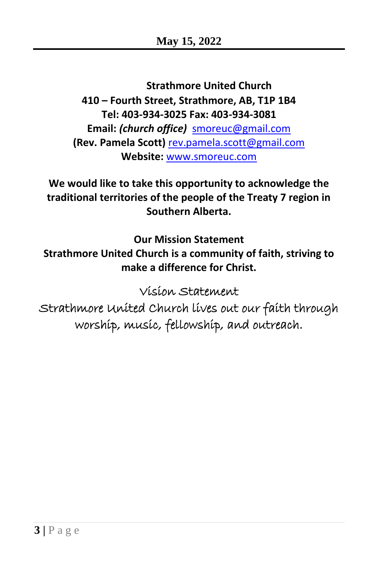**Strathmore United Church 410 – Fourth Street, Strathmore, AB, T1P 1B4 Tel: 403-934-3025 Fax: 403-934-3081 Email:** *(church office)* [smoreuc@gmail.com](mailto:smoreuc@gmail.com) **(Rev. Pamela Scott)** [rev.pamela.scott@gmail.com](mailto:rev.pamela.scott@gmail.com) **Website:** [www.smoreuc.com](http://www.smoreuc.com/)

**We would like to take this opportunity to acknowledge the traditional territories of the people of the Treaty 7 region in Southern Alberta.**

**Our Mission Statement Strathmore United Church is a community of faith, striving to make a difference for Christ.**

Vision Statement

Strathmore United Church lives out our faith through worship, music, fellowship, and outreach.